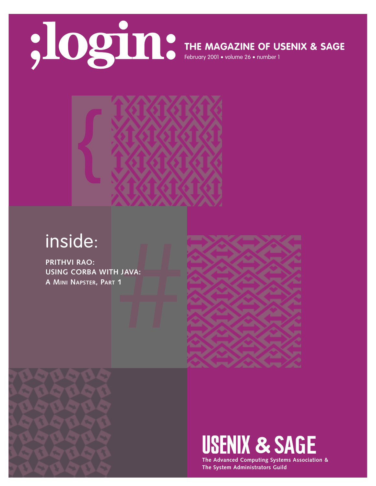

# **THE MAGAZINE OF USENIX & SAGE**

February 2001 • volume 26 • number 1



# inside:

**HUAVA:**<br>1<br>1 **PRITHVI RAO: USING CORBA WITH JAVA: A MINI NAPSTER, PART 1**





**The Advanced Computing Systems Association & The System Administrators Guild**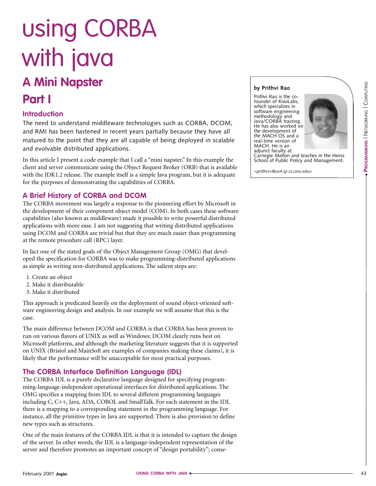# **A Mini Napster Part I** using CORBA with java

## **Introduction**

The need to understand middleware technologies such as CORBA, DCOM, and RMI has been hastened in recent years partially because they have all matured to the point that they are all capable of being deployed in scalable and evolvable distributed applications.

In this article I present a code example that I call a "mini napster." In this example the client and server communicate using the Object Request Broker (ORB) that is available with the JDK1.2 release. The example itself is a simple Java program, but it is adequate for the purposes of demonstrating the capabilities of CORBA.

### **A Brief History of CORBA and DCOM**

The CORBA movement was largely a response to the pioneering effort by Microsoft in the development of their component object model (COM). In both cases these software capabilities (also known as middleware) made it possible to write powerful distributed applications with more ease. I am not suggesting that writing distributed applications using DCOM and CORBA are trivial but that they are much easier than programming at the remote procedure call (RPC) layer.

In fact one of the stated goals of the Object Management Group (OMG) that developed the specification for CORBA was to make programming-distributed applications as simple as writing non-distributed applications. The salient steps are:

- 1. Create an object
- 2. Make it distributable
- 3. Make it distributed

This approach is predicated heavily on the deployment of sound object-oriented software engineering design and analysis. In our example we will assume that this is the case.

The main difference between DCOM and CORBA is that CORBA has been proven to run on various flavors of UNIX as well as Windows; DCOM clearly runs best on Microsoft platforms, and although the marketing literature suggests that it is supported on UNIX (Bristol and MainSoft are examples of companies making these claims), it is likely that the performance will be unacceptable for most practical purposes.

### **The CORBA Interface Definition Language (IDL)**

The CORBA IDL is a purely declarative language designed for specifying programming-language-independent operational interfaces for distributed applications. The OMG specifies a mapping from IDL to several different programming languages including C, C++, Java, ADA, COBOL and SmallTalk. For each statement in the IDL there is a mapping to a corresponding statement in the programming language. For instance, all the primitive types in Java are supported. There is also provision to define new types such as structures.

One of the main features of the CORBA IDL is that it is intended to capture the design of the server. In other words, the IDL is a language-independent representation of the server and therefore promotes an important concept of "design portability"; conse-

#### **by Prithvi Rao**

Prithvi Rao is the cofounder of KiwiLabs, which specializes in software engineering methodology and Java/CORBA training. He has also worked on the development of the MACH OS and a real-time version of MACH. He is an adjunct faculty at



●

PROGRAMMING | NETWORKING | COMPUTING **PROGRAMMING** | NETWORKING | COMPUTING

Carnegie Mellon and teaches in the Heinz School of Public Policy and Management.

*<prithvi+@ux4.sp.cs.cmu.edu>*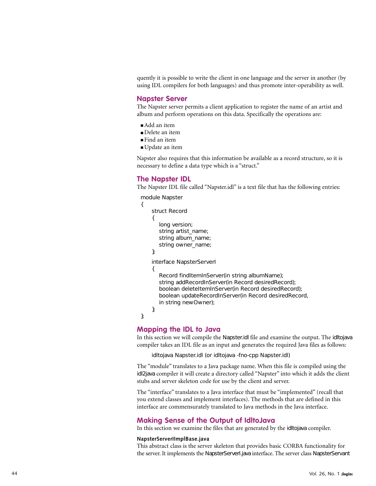quently it is possible to write the client in one language and the server in another (by using IDL compilers for both languages) and thus promote inter-operability as well.

#### **Napster Server**

The Napster server permits a client application to register the name of an artist and album and perform operations on this data. Specifically the operations are:

- Add an item
- Delete an item
- Find an item
- Update an item

Napster also requires that this information be available as a record structure, so it is necessary to define a data type which is a "struct."

#### **The Napster IDL**

{

};

The Napster IDL file called "Napster.idl" is a text file that has the following entries:

```
module Napster struct Record {
  long version;
  string artist_name;
  string album_name;
   string owner_name;
};
interface NapsterServerI {
   Record findItemInServer(in string albumName);
   string addRecordInServer(in Record desiredRecord);
   boolean deleteItemInServer(in Record desiredRecord);
   boolean updateRecordInServer(in Record desiredRecord, 
  in string newOwner);
};
```
#### **Mapping the IDL to Java**

In this section we will compile the Napster.idl file and examine the output. The idltojava compiler takes an IDL file as an input and generates the required Java files as follows:

idltojava Napster.idl (or idltojava -fno-cpp Napster.idl)

The "module" translates to a Java package name. When this file is compiled using the idl2java compiler it will create a directory called "Napster" into which it adds the client stubs and server skeleton code for use by the client and server.

The "interface" translates to a Java interface that must be "implemented" (recall that you extend classes and implement interfaces). The methods that are defined in this interface are commensurately translated to Java methods in the Java interface.

#### **Making Sense of the Output of IdltoJava**

In this section we examine the files that are generated by the idltojava compiler.

#### **NapsterServerIImplBase.java**

This abstract class is the server skeleton that provides basic CORBA functionality for the server. It implements the NapsterServerI.java interface. The server class NapsterServant